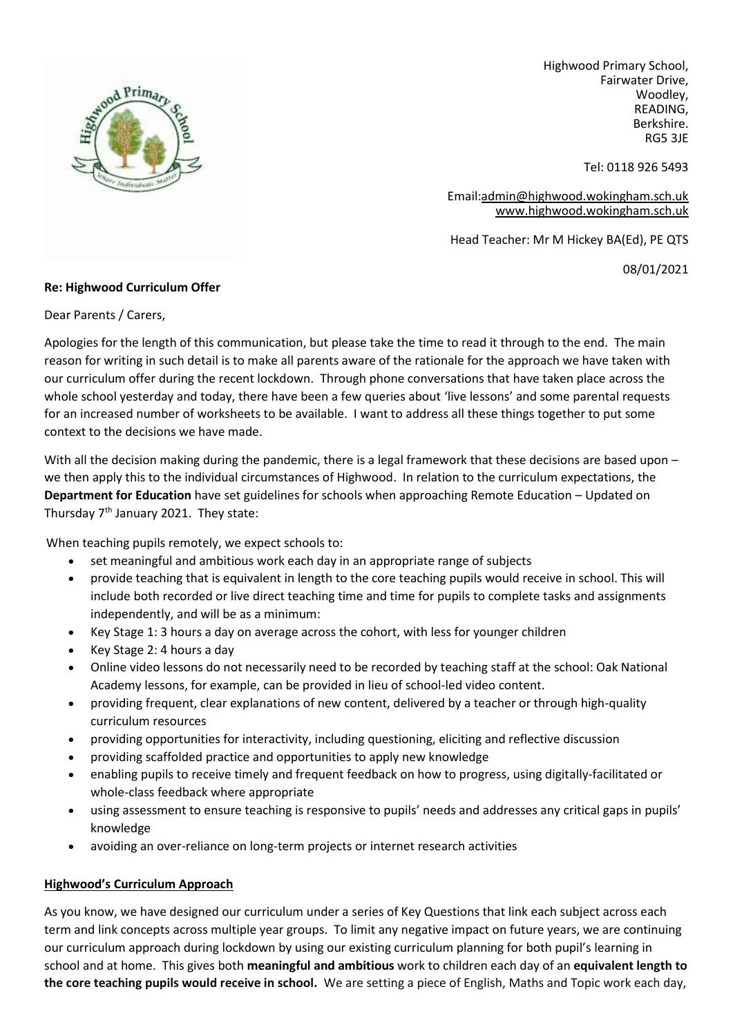

Highwood Primary School, Fairwater Drive, Woodley, READING, Berkshire. RG5 3JE

Tel: 0118 926 5493

Email[:admin@highwood.wokingham.sch.uk](mailto:admin@highwood.wokingham.sch.uk) [www.highwood.wokingham.sch.uk](http://www.highwood.wokingham.sch.uk/)

Head Teacher: Mr M Hickey BA(Ed), PE QTS

08/01/2021

## **Re: Highwood Curriculum Offer**

Dear Parents / Carers,

Apologies for the length of this communication, but please take the time to read it through to the end. The main reason for writing in such detail is to make all parents aware of the rationale for the approach we have taken with our curriculum offer during the recent lockdown. Through phone conversations that have taken place across the whole school yesterday and today, there have been a few queries about 'live lessons' and some parental requests for an increased number of worksheets to be available. I want to address all these things together to put some context to the decisions we have made.

With all the decision making during the pandemic, there is a legal framework that these decisions are based upon – we then apply this to the individual circumstances of Highwood. In relation to the curriculum expectations, the **Department for Education** have set guidelines for schools when approaching Remote Education – Updated on Thursday  $7<sup>th</sup>$  January 2021. They state:

When teaching pupils remotely, we expect schools to:

- set meaningful and ambitious work each day in an appropriate range of subjects
- provide teaching that is equivalent in length to the core teaching pupils would receive in school. This will include both recorded or live direct teaching time and time for pupils to complete tasks and assignments independently, and will be as a minimum:
- Key Stage 1: 3 hours a day on average across the cohort, with less for younger children
- Key Stage 2: 4 hours a day
- Online video lessons do not necessarily need to be recorded by teaching staff at the school: Oak National Academy lessons, for example, can be provided in lieu of school-led video content.
- providing frequent, clear explanations of new content, delivered by a teacher or through high-quality curriculum resources
- providing opportunities for interactivity, including questioning, eliciting and reflective discussion
- providing scaffolded practice and opportunities to apply new knowledge
- enabling pupils to receive timely and frequent feedback on how to progress, using digitally-facilitated or whole-class feedback where appropriate
- using assessment to ensure teaching is responsive to pupils' needs and addresses any critical gaps in pupils' knowledge
- avoiding an over-reliance on long-term projects or internet research activities

## **Highwood's Curriculum Approach**

As you know, we have designed our curriculum under a series of Key Questions that link each subject across each term and link concepts across multiple year groups. To limit any negative impact on future years, we are continuing our curriculum approach during lockdown by using our existing curriculum planning for both pupil's learning in school and at home. This gives both **meaningful and ambitious** work to children each day of an **equivalent length to the core teaching pupils would receive in school.** We are setting a piece of English, Maths and Topic work each day,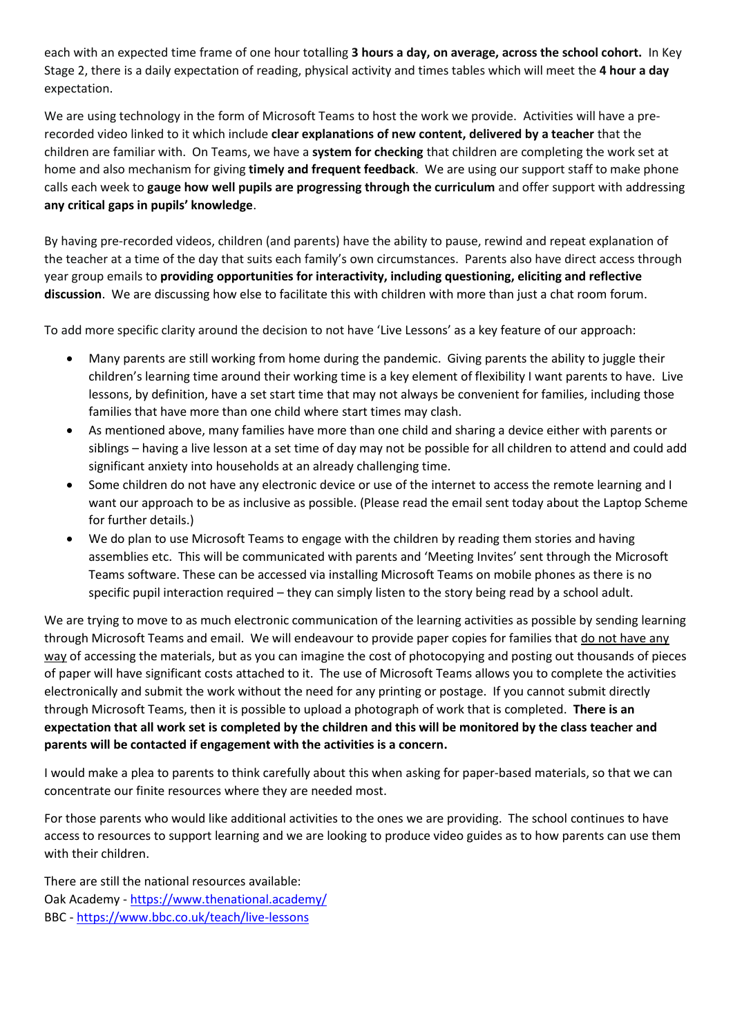each with an expected time frame of one hour totalling **3 hours a day, on average, across the school cohort.** In Key Stage 2, there is a daily expectation of reading, physical activity and times tables which will meet the **4 hour a day** expectation.

We are using technology in the form of Microsoft Teams to host the work we provide. Activities will have a prerecorded video linked to it which include **clear explanations of new content, delivered by a teacher** that the children are familiar with. On Teams, we have a **system for checking** that children are completing the work set at home and also mechanism for giving **timely and frequent feedback**. We are using our support staff to make phone calls each week to **gauge how well pupils are progressing through the curriculum** and offer support with addressing **any critical gaps in pupils' knowledge**.

By having pre-recorded videos, children (and parents) have the ability to pause, rewind and repeat explanation of the teacher at a time of the day that suits each family's own circumstances. Parents also have direct access through year group emails to **providing opportunities for interactivity, including questioning, eliciting and reflective discussion**. We are discussing how else to facilitate this with children with more than just a chat room forum.

To add more specific clarity around the decision to not have 'Live Lessons' as a key feature of our approach:

- Many parents are still working from home during the pandemic. Giving parents the ability to juggle their children's learning time around their working time is a key element of flexibility I want parents to have. Live lessons, by definition, have a set start time that may not always be convenient for families, including those families that have more than one child where start times may clash.
- As mentioned above, many families have more than one child and sharing a device either with parents or siblings – having a live lesson at a set time of day may not be possible for all children to attend and could add significant anxiety into households at an already challenging time.
- Some children do not have any electronic device or use of the internet to access the remote learning and I want our approach to be as inclusive as possible. (Please read the email sent today about the Laptop Scheme for further details.)
- We do plan to use Microsoft Teams to engage with the children by reading them stories and having assemblies etc. This will be communicated with parents and 'Meeting Invites' sent through the Microsoft Teams software. These can be accessed via installing Microsoft Teams on mobile phones as there is no specific pupil interaction required – they can simply listen to the story being read by a school adult.

We are trying to move to as much electronic communication of the learning activities as possible by sending learning through Microsoft Teams and email. We will endeavour to provide paper copies for families that do not have any way of accessing the materials, but as you can imagine the cost of photocopying and posting out thousands of pieces of paper will have significant costs attached to it. The use of Microsoft Teams allows you to complete the activities electronically and submit the work without the need for any printing or postage. If you cannot submit directly through Microsoft Teams, then it is possible to upload a photograph of work that is completed. **There is an expectation that all work set is completed by the children and this will be monitored by the class teacher and parents will be contacted if engagement with the activities is a concern.**

I would make a plea to parents to think carefully about this when asking for paper-based materials, so that we can concentrate our finite resources where they are needed most.

For those parents who would like additional activities to the ones we are providing. The school continues to have access to resources to support learning and we are looking to produce video guides as to how parents can use them with their children.

There are still the national resources available: Oak Academy - <https://www.thenational.academy/> BBC - <https://www.bbc.co.uk/teach/live-lessons>